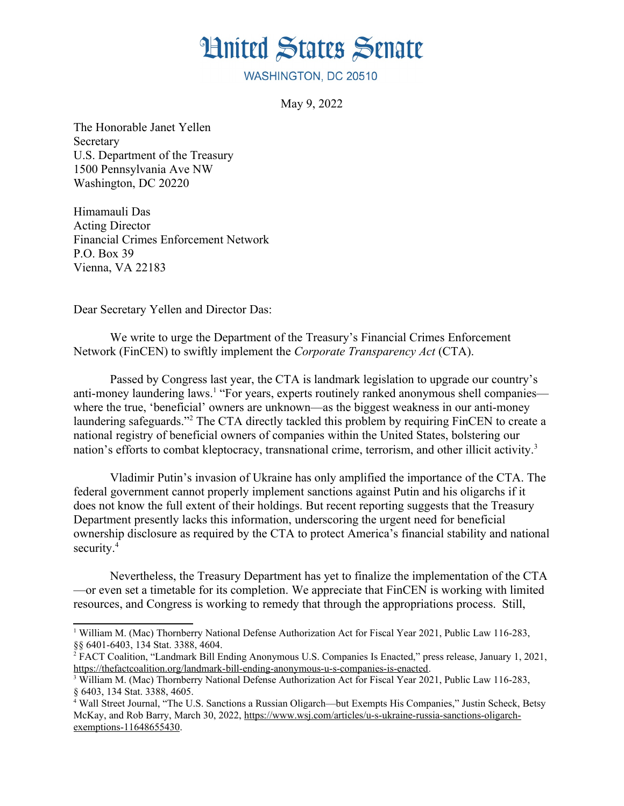## **Hnited States Senate**

WASHINGTON, DC 20510

<span id="page-0-4"></span>May 9, 2022

The Honorable Janet Yellen Secretary U.S. Department of the Treasury 1500 Pennsylvania Ave NW Washington, DC 20220

Himamauli Das Acting Director Financial Crimes Enforcement Network P.O. Box 39 Vienna, VA 22183

Dear Secretary Yellen and Director Das:

We write to urge the Department of the Treasury's Financial Crimes Enforcement Network (FinCEN) to swiftly implement the *Corporate Transparency Act* (CTA).

<span id="page-0-2"></span><span id="page-0-0"></span>Passed by Congress last year, the CTA is landmark legislation to upgrade our country's anti-money laundering laws.<sup>[1](#page-0-1)</sup> "For years, experts routinely ranked anonymous shell companies where the true, 'beneficial' owners are unknown—as the biggest weakness in our anti-money laundering safeguards."<sup>[2](#page-0-3)</sup> The CTA directly tackled this problem by requiring FinCEN to create a national registry of beneficial owners of companies within the United States, bolstering our nation's efforts to combat kleptocracy, transnational crime, terrorism, and other illicit activity.<sup>[3](#page-0-5)</sup>

Vladimir Putin's invasion of Ukraine has only amplified the importance of the CTA. The federal government cannot properly implement sanctions against Putin and his oligarchs if it does not know the full extent of their holdings. But recent reporting suggests that the Treasury Department presently lacks this information, underscoring the urgent need for beneficial ownership disclosure as required by the CTA to protect America's financial stability and national security.<sup>[4](#page-0-7)</sup>

<span id="page-0-6"></span>Nevertheless, the Treasury Department has yet to finalize the implementation of the CTA —or even set a timetable for its completion. We appreciate that FinCEN is working with limited resources, and Congress is working to remedy that through the appropriations process. Still,

<span id="page-0-1"></span><sup>&</sup>lt;sup>[1](#page-0-0)</sup> William M. (Mac) Thornberry National Defense Authorization Act for Fiscal Year 2021, Public Law 116-283, §§ 6401-6403, 134 Stat. 3388, 4604.

<span id="page-0-3"></span><sup>&</sup>lt;sup>[2](#page-0-2)</sup> FACT Coalition, "Landmark Bill Ending Anonymous U.S. Companies Is Enacted," press release, January 1, 2021, [https://thefactcoalition.org/landmark-bill-ending-anonymous-u-s-companies-is-enacted.](https://thefactcoalition.org/landmark-bill-ending-anonymous-u-s-companies-is-enacted)

<span id="page-0-5"></span><sup>&</sup>lt;sup>[3](#page-0-4)</sup> William M. (Mac) Thornberry National Defense Authorization Act for Fiscal Year 2021, Public Law 116-283, § 6403, 134 Stat. 3388, 4605.

<span id="page-0-7"></span><sup>&</sup>lt;sup>[4](#page-0-6)</sup> Wall Street Journal, "The U.S. Sanctions a Russian Oligarch—but Exempts His Companies," Justin Scheck, Betsy McKay, and Rob Barry, March 30, 2022, [https://www.wsj.com/articles/u-s-ukraine-russia-sanctions-oligarch](https://www.wsj.com/articles/u-s-ukraine-russia-sanctions-oligarch-exemptions-11648655430)[exemptions-11648655430.](https://www.wsj.com/articles/u-s-ukraine-russia-sanctions-oligarch-exemptions-11648655430)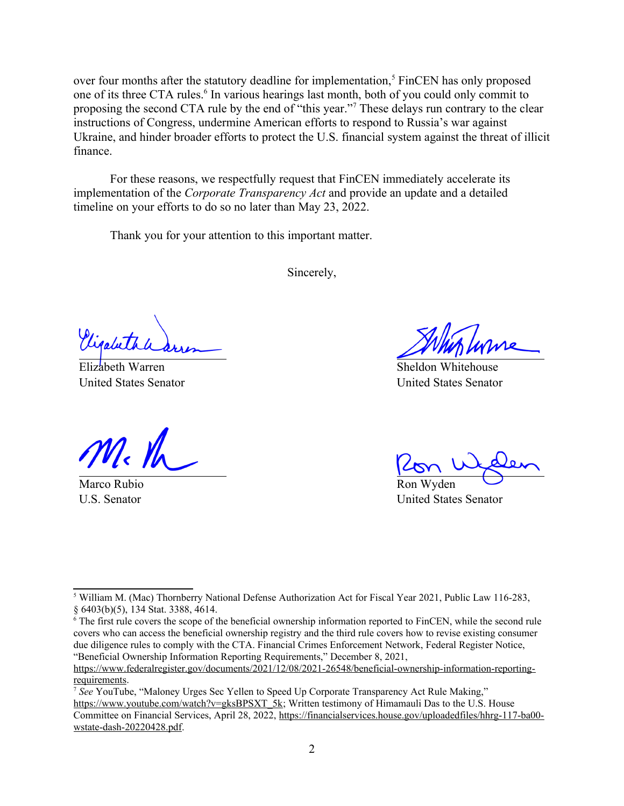<span id="page-1-2"></span>over four months after the statutory deadline for implementation.<sup>[5](#page-1-1)</sup> FinCEN has only proposed one of its three CTA rules.<sup>[6](#page-1-3)</sup> In various hearings last month, both of you could only commit to proposing the second CTA rule by the end of "this year."<sup>[7](#page-1-5)</sup> These delays run contrary to the clear instructions of Congress, undermine American efforts to respond to Russia's war against Ukraine, and hinder broader efforts to protect the U.S. financial system against the threat of illicit finance.

For these reasons, we respectfully request that FinCEN immediately accelerate its implementation of the *Corporate Transparency Act* and provide an update and a detailed timeline on your efforts to do so no later than May 23, 2022.

Thank you for your attention to this important matter.

<span id="page-1-4"></span><span id="page-1-0"></span>Sincerely,

Elizabeth Warren United States Senator

Marco Rubio U.S. Senator

Sheldon Whitehouse United States Senator

Ron Wyden

United States Senator

<span id="page-1-1"></span><sup>&</sup>lt;sup>[5](#page-1-0)</sup> William M. (Mac) Thornberry National Defense Authorization Act for Fiscal Year 2021, Public Law 116-283, § 6403(b)(5), 134 Stat. 3388, 4614.

<span id="page-1-3"></span> $\epsilon$ <sup>[6](#page-1-2)</sup> The first rule covers the scope of the beneficial ownership information reported to FinCEN, while the second rule covers who can access the beneficial ownership registry and the third rule covers how to revise existing consumer due diligence rules to comply with the CTA. Financial Crimes Enforcement Network, Federal Register Notice, "Beneficial Ownership Information Reporting Requirements," December 8, 2021,

[https://www.federalregister.gov/documents/2021/12/08/2021-26548/beneficial-ownership-information-reporting](https://www.federalregister.gov/documents/2021/12/08/2021-26548/beneficial-ownership-information-reporting-requirements)[requirements](https://www.federalregister.gov/documents/2021/12/08/2021-26548/beneficial-ownership-information-reporting-requirements).

<span id="page-1-5"></span><sup>&</sup>lt;sup>[7](#page-1-4)</sup> See YouTube, "Maloney Urges Sec Yellen to Speed Up Corporate Transparency Act Rule Making," [https://www.youtube.com/watch?v=gksBPSXT\\_5k;](https://www.youtube.com/watch?v=gksBPSXT_5k) Written testimony of Himamauli Das to the U.S. House Committee on Financial Services, April 28, 2022, [https://financialservices.house.gov/uploadedfiles/hhrg-117-ba00](https://financialservices.house.gov/uploadedfiles/hhrg-117-ba00-wstate-dash-20220428.pdf) [wstate-dash-20220428.pdf](https://financialservices.house.gov/uploadedfiles/hhrg-117-ba00-wstate-dash-20220428.pdf).